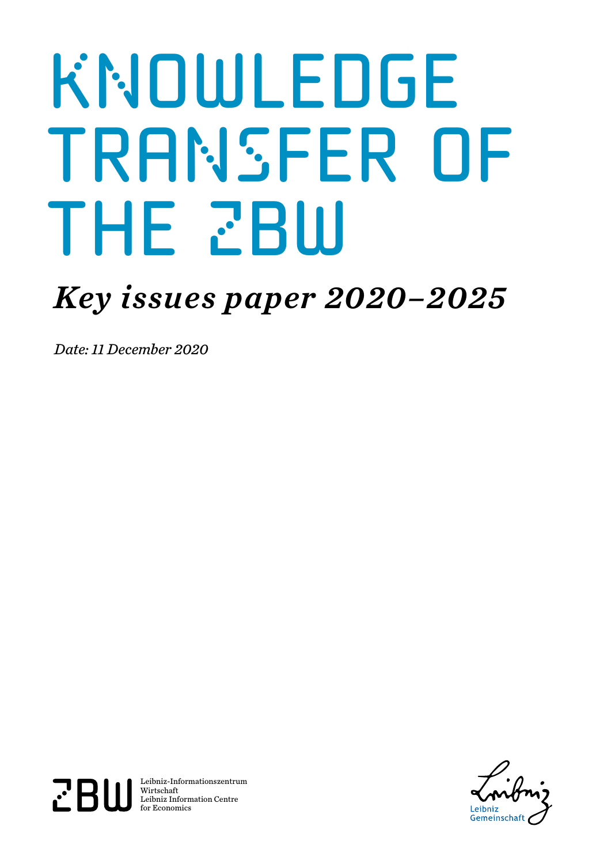# **KNOWLEDGE** transfer of THE ZBW

## *Key issues paper 2020–2025*

*Date: 11 December 2020*



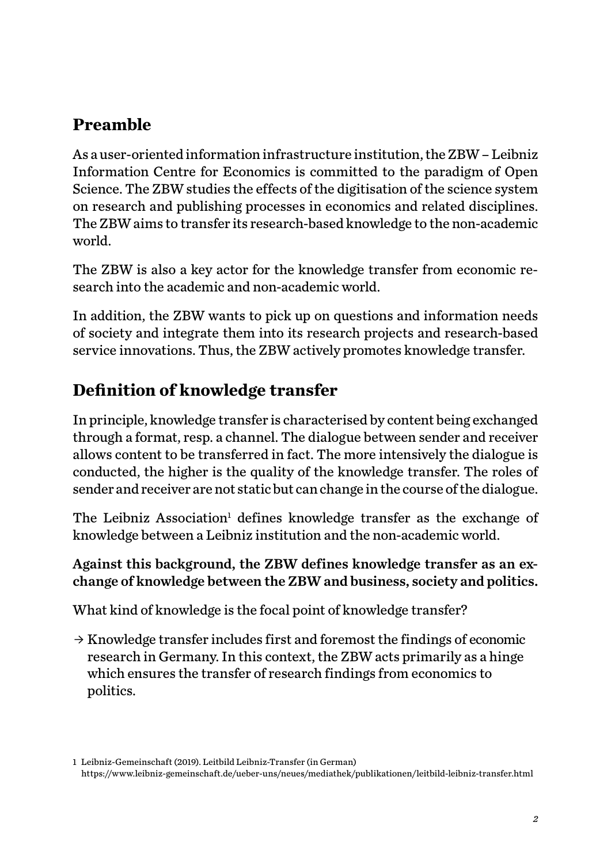#### **Preamble**

As a user-oriented information infrastructure institution, the ZBW – Leibniz Information Centre for Economics is committed to the paradigm of Open Science. The ZBW studies the effects of the digitisation of the science system on research and publishing processes in economics and related disciplines. The ZBW aims to transfer its research-based knowledge to the non-academic world.

The ZBW is also a key actor for the knowledge transfer from economic research into the academic and non-academic world.

In addition, the ZBW wants to pick up on questions and information needs of society and integrate them into its research projects and research-based service innovations. Thus, the ZBW actively promotes knowledge transfer.

#### **Definition of knowledge transfer**

In principle, knowledge transfer is characterised by content being exchanged through a format, resp. a channel. The dialogue between sender and receiver allows content to be transferred in fact. The more intensively the dialogue is conducted, the higher is the quality of the knowledge transfer. The roles of sender and receiver are not static but can change in the course of the dialogue.

The Leibniz Association<sup>1</sup> defines knowledge transfer as the exchange of knowledge between a Leibniz institution and the non-academic world.

#### Against this background, the ZBW defines knowledge transfer as an exchange of knowledge between the ZBW and business, society and politics.

What kind of knowledge is the focal point of knowledge transfer?

 $\rightarrow$  Knowledge transfer includes first and foremost the findings of economic research in Germany. In this context, the ZBW acts primarily as a hinge which ensures the transfer of research findings from economics to politics.

<sup>1</sup> Leibniz-Gemeinschaft (2019). Leitbild Leibniz-Transfer (in German) <https://www.leibniz-gemeinschaft.de/ueber-uns/neues/mediathek/publikationen/leitbild-leibniz-transfer.html>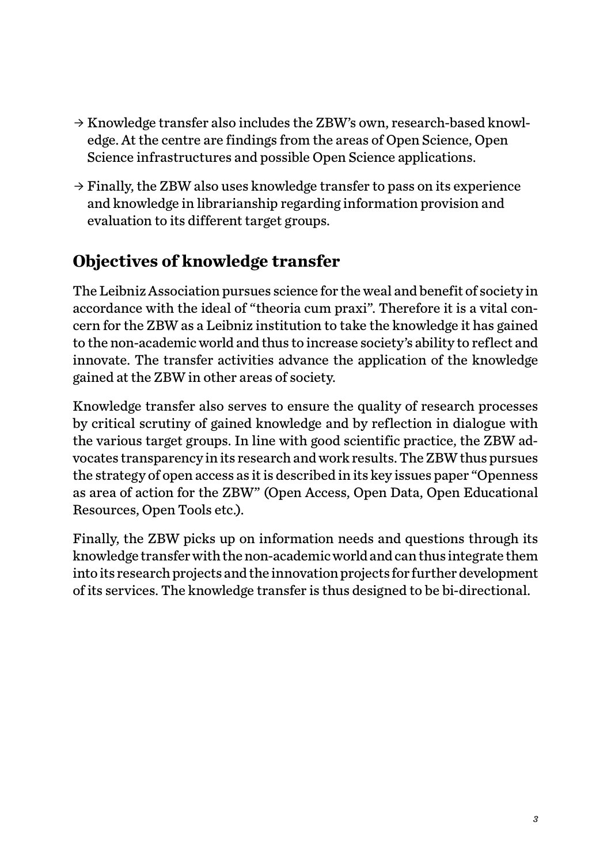- $\rightarrow$  Knowledge transfer also includes the ZBW's own, research-based knowledge. At the centre are findings from the areas of Open Science, Open Science infrastructures and possible Open Science applications.
- $\rightarrow$  Finally, the ZBW also uses knowledge transfer to pass on its experience and knowledge in librarianship regarding information provision and evaluation to its different target groups.

#### **Objectives of knowledge transfer**

The Leibniz Association pursues science for the weal and benefit of society in accordance with the ideal of "theoria cum praxi". Therefore it is a vital concern for the ZBW as a Leibniz institution to take the knowledge it has gained to the non-academic world and thus to increase society's ability to reflect and innovate. The transfer activities advance the application of the knowledge gained at the ZBW in other areas of society.

Knowledge transfer also serves to ensure the quality of research processes by critical scrutiny of gained knowledge and by reflection in dialogue with the various target groups. In line with good scientific practice, the ZBW advocates transparency in its research and work results. The ZBW thus pursues the strategy of open access as it is described in its key issues paper "Openness as area of action for the ZBW" (Open Access, Open Data, Open Educational Resources, Open Tools etc.).

Finally, the ZBW picks up on information needs and questions through its knowledge transfer with the non-academic world and can thus integrate them into its research projects and the innovation projects for further development of its services. The knowledge transfer is thus designed to be bi-directional.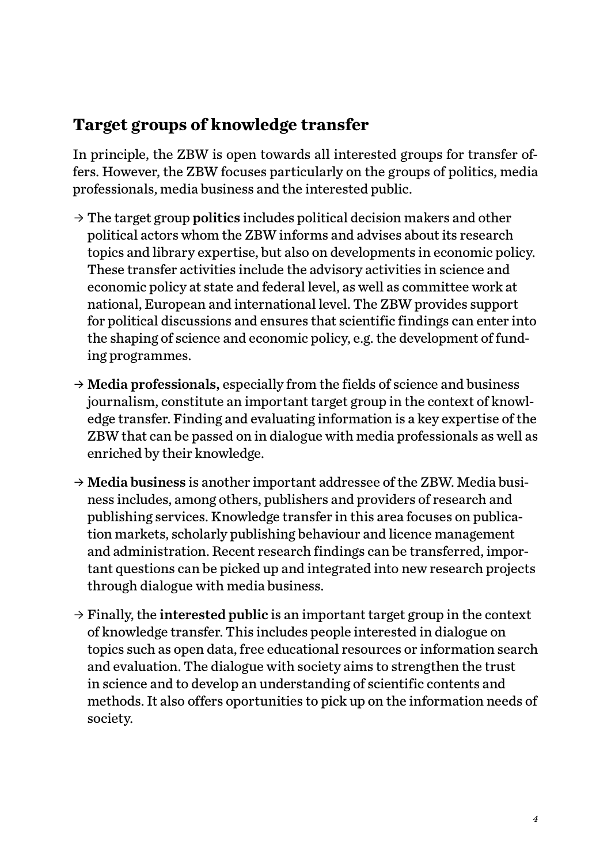#### **Target groups of knowledge transfer**

In principle, the ZBW is open towards all interested groups for transfer offers. However, the ZBW focuses particularly on the groups of politics, media professionals, media business and the interested public.

- $\rightarrow$  The target group politics includes political decision makers and other political actors whom the ZBW informs and advises about its research topics and library expertise, but also on developments in economic policy. These transfer activities include the advisory activities in science and economic policy at state and federal level, as well as committee work at national, European and international level. The ZBW provides support for political discussions and ensures that scientific findings can enter into the shaping of science and economic policy, e.g. the development of funding programmes.
- $\rightarrow$  Media professionals, especially from the fields of science and business journalism, constitute an important target group in the context of knowledge transfer. Finding and evaluating information is a key expertise of the ZBW that can be passed on in dialogue with media professionals as well as enriched by their knowledge.
- $\rightarrow$  Media business is another important addressee of the ZBW. Media business includes, among others, publishers and providers of research and publishing services. Knowledge transfer in this area focuses on publication markets, scholarly publishing behaviour and licence management and administration. Recent research findings can be transferred, important questions can be picked up and integrated into new research projects through dialogue with media business.
- $\rightarrow$  Finally, the interested public is an important target group in the context of knowledge transfer. This includes people interested in dialogue on topics such as open data, free educational resources or information search and evaluation. The dialogue with society aims to strengthen the trust in science and to develop an understanding of scientific contents and methods. It also offers oportunities to pick up on the information needs of society.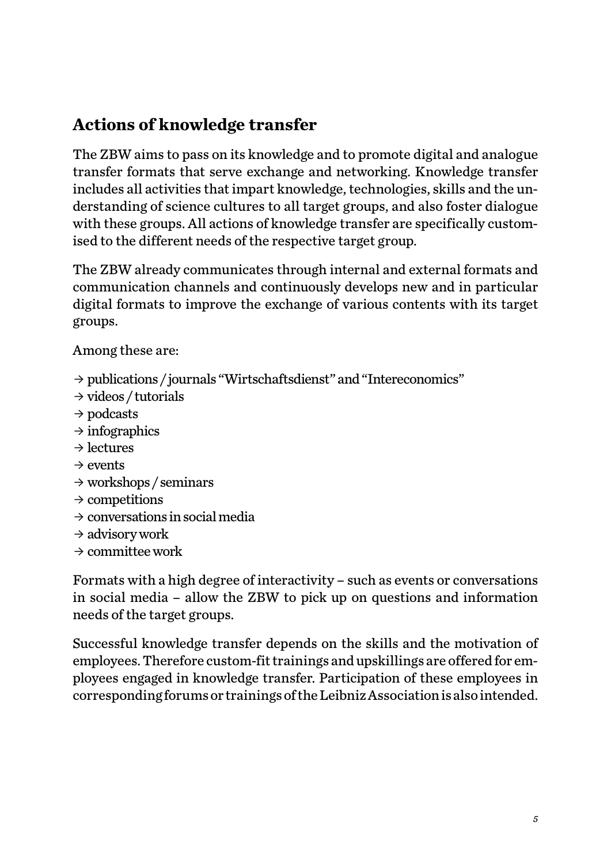#### **Actions of knowledge transfer**

The ZBW aims to pass on its knowledge and to promote digital and analogue transfer formats that serve exchange and networking. Knowledge transfer includes all activities that impart knowledge, technologies, skills and the understanding of science cultures to all target groups, and also foster dialogue with these groups. All actions of knowledge transfer are specifically customised to the different needs of the respective target group.

The ZBW already communicates through internal and external formats and communication channels and continuously develops new and in particular digital formats to improve the exchange of various contents with its target groups.

Among these are:

- ȹ publications / journals "Wirtschaftsdienst" and "Intereconomics"
- $\rightarrow$  videos / tutorials
- $\rightarrow$  podcasts
- $\rightarrow$  infographics
- $\rightarrow$  lectures
- $\rightarrow$  events
- $\rightarrow$  workshops / seminars
- $\rightarrow$  competitions
- $\rightarrow$  conversations in social media
- $\rightarrow$  advisory work
- $\rightarrow$  committee work

Formats with a high degree of interactivity – such as events or conversations in social media – allow the ZBW to pick up on questions and information needs of the target groups.

Successful knowledge transfer depends on the skills and the motivation of employees. Therefore custom-fit trainings and upskillings are offered for employees engaged in knowledge transfer. Participation of these employees in corresponding forums or trainings of the Leibniz Association is also intended.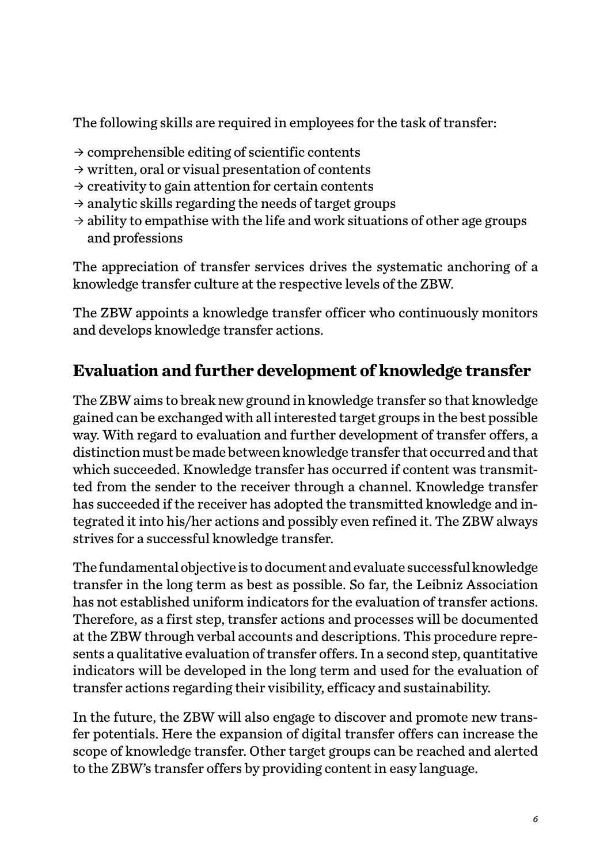The following skills are required in employees for the task of transfer:

- $\rightarrow$  comprehensible editing of scientific contents
- $\rightarrow$  written, oral or visual presentation of contents
- $\rightarrow$  creativity to gain attention for certain contents
- $\rightarrow$  analytic skills regarding the needs of target groups
- $\rightarrow$  ability to empathise with the life and work situations of other age groups and professions

The appreciation of transfer services drives the systematic anchoring of a knowledge transfer culture at the respective levels of the ZBW.

The ZBW appoints a knowledge transfer officer who continuously monitors and develops knowledge transfer actions.

#### **Evaluation and further development of knowledge transfer**

The ZBW aims to break new ground in knowledge transfer so that knowledge gained can be exchanged with all interested target groups in the best possible way. With regard to evaluation and further development of transfer offers, a distinction must be made between knowledge transfer that occurred and that which succeeded. Knowledge transfer has occurred if content was transmitted from the sender to the receiver through a channel. Knowledge transfer has succeeded if the receiver has adopted the transmitted knowledge and integrated it into his/her actions and possibly even refined it. The ZBW always strives for a successful knowledge transfer.

The fundamental objective is to document and evaluate successful knowledge transfer in the long term as best as possible. So far, the Leibniz Association has not established uniform indicators for the evaluation of transfer actions. Therefore, as a first step, transfer actions and processes will be documented at the ZBW through verbal accounts and descriptions. This procedure represents a qualitative evaluation of transfer offers. In a second step, quantitative indicators will be developed in the long term and used for the evaluation of transfer actions regarding their visibility, efficacy and sustainability.

In the future, the ZBW will also engage to discover and promote new transfer potentials. Here the expansion of digital transfer offers can increase the scope of knowledge transfer. Other target groups can be reached and alerted to the ZBW's transfer offers by providing content in easy language.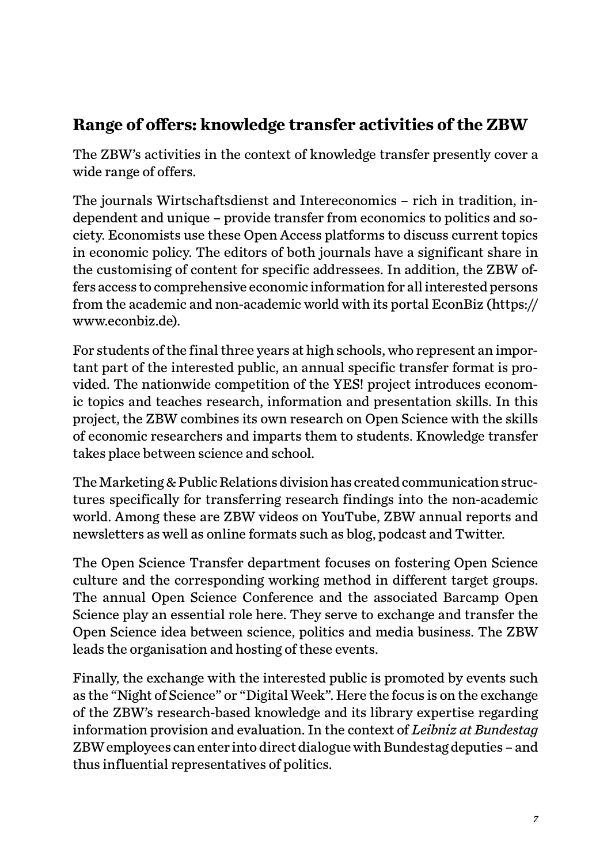#### **Range of offers: knowledge transfer activities of the ZBW**

The ZBW's activities in the context of knowledge transfer presently cover a wide range of offers.

The journals Wirtschaftsdienst and Intereconomics – rich in tradition, independent and unique – provide transfer from economics to politics and society. Economists use these Open Access platforms to discuss current topics in economic policy. The editors of both journals have a significant share in the customising of content for specific addressees. In addition, the ZBW offers access to comprehensive economic information for all interested persons from the academic and non-academic world with its portal EconBiz ([https://](https://www.econbiz.de) [www.econbiz.de\)](https://www.econbiz.de).

For students of the final three years at high schools, who represent an important part of the interested public, an annual specific transfer format is provided. The nationwide competition of the YES! project introduces economic topics and teaches research, information and presentation skills. In this project, the ZBW combines its own research on Open Science with the skills of economic researchers and imparts them to students. Knowledge transfer takes place between science and school.

The Marketing & Public Relations division has created communication structures specifically for transferring research findings into the non-academic world. Among these are ZBW videos on YouTube, ZBW annual reports and newsletters as well as online formats such as blog, podcast and Twitter.

The Open Science Transfer department focuses on fostering Open Science culture and the corresponding working method in different target groups. The annual Open Science Conference and the associated Barcamp Open Science play an essential role here. They serve to exchange and transfer the Open Science idea between science, politics and media business. The ZBW leads the organisation and hosting of these events.

Finally, the exchange with the interested public is promoted by events such as the "Night of Science" or "Digital Week". Here the focus is on the exchange of the ZBW's research-based knowledge and its library expertise regarding information provision and evaluation. In the context of *Leibniz at Bundestag* ZBW employees can enter into direct dialogue with Bundestag deputies – and thus influential representatives of politics.